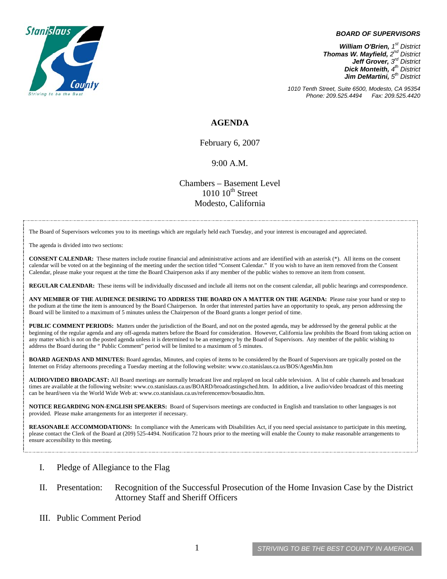

#### *BOARD OF SUPERVISORS*

*William O'Brien, 1<sup>st</sup> District Thomas W. Mayfield, 2nd District Jeff Grover, 3rd District Dick Monteith, 4th District Jim DeMartini, 5th District*

*1010 Tenth Street, Suite 6500, Modesto, CA 95354 Phone: 209.525.4494 Fax: 209.525.4420*

## **AGENDA**

February 6, 2007

#### 9:00 A.M.

Chambers – Basement Level  $1010~10<sup>th</sup>$  Street Modesto, California

The Board of Supervisors welcomes you to its meetings which are regularly held each Tuesday, and your interest is encouraged and appreciated.

The agenda is divided into two sections:

**CONSENT CALENDAR:** These matters include routine financial and administrative actions and are identified with an asterisk (\*). All items on the consent calendar will be voted on at the beginning of the meeting under the section titled "Consent Calendar." If you wish to have an item removed from the Consent Calendar, please make your request at the time the Board Chairperson asks if any member of the public wishes to remove an item from consent.

**REGULAR CALENDAR:** These items will be individually discussed and include all items not on the consent calendar, all public hearings and correspondence.

**ANY MEMBER OF THE AUDIENCE DESIRING TO ADDRESS THE BOARD ON A MATTER ON THE AGENDA:** Please raise your hand or step to the podium at the time the item is announced by the Board Chairperson. In order that interested parties have an opportunity to speak, any person addressing the Board will be limited to a maximum of 5 minutes unless the Chairperson of the Board grants a longer period of time.

**PUBLIC COMMENT PERIODS:** Matters under the jurisdiction of the Board, and not on the posted agenda, may be addressed by the general public at the beginning of the regular agenda and any off-agenda matters before the Board for consideration. However, California law prohibits the Board from taking action on any matter which is not on the posted agenda unless it is determined to be an emergency by the Board of Supervisors. Any member of the public wishing to address the Board during the " Public Comment" period will be limited to a maximum of 5 minutes.

**BOARD AGENDAS AND MINUTES:** Board agendas, Minutes, and copies of items to be considered by the Board of Supervisors are typically posted on the Internet on Friday afternoons preceding a Tuesday meeting at the following website: [www.co.stanislaus.ca.us/BOS/AgenMin.htm](http://www.co.stanislaus.ca.us/BOS/AgenMin.htm) 

**AUDIO/VIDEO BROADCAST:** All Board meetings are normally broadcast live and replayed on local cable television. A list of cable channels and broadcast times are available at the following website: [www.co.stanislaus.ca.us/BOARD/broadcastingsched.htm](http://www.co.stanislaus.ca.us/BOARD/broadcastingsched.htm). In addition, a live audio/video broadcast of this meeting can be heard/seen via the World Wide Web at: [www.co.stanislaus.ca.us/referencemov/bosaudio.htm.](http://www.co.stanislaus.ca.us/referencemov/bosaudio.htm)

**NOTICE REGARDING NON-ENGLISH SPEAKERS:** Board of Supervisors meetings are conducted in English and translation to other languages is not provided. Please make arrangements for an interpreter if necessary.

**REASONABLE ACCOMMODATIONS:** In compliance with the Americans with Disabilities Act, if you need special assistance to participate in this meeting, please contact the Clerk of the Board at (209) 525-4494. Notification 72 hours prior to the meeting will enable the County to make reasonable arrangements to ensure accessibility to this meeting.

## I. Pledge of Allegiance to the Flag

## II. Presentation: Recognition of the Successful Prosecution of the Home Invasion Case by the District Attorney Staff and Sheriff Officers

III. Public Comment Period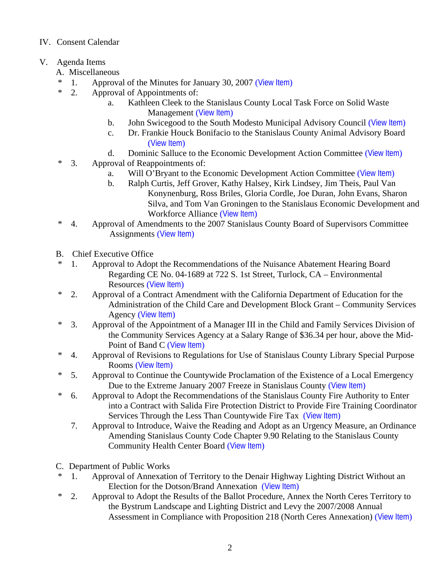# IV. Consent Calendar

- V. Agenda Items
	- A. Miscellaneous
	- \* 1. Approval of the Minutes for January 30, 2007 ([View Item](http://www.co.stanislaus.ca.us/BOS/MINUTES/2007/min01-30-07.pdf))
	- \* 2. Approval of Appointments of:
		- a. Kathleen Cleek to the Stanislaus County Local Task Force on Solid Waste Management ([View Item](http://www.co.stanislaus.ca.us/BOS/Agenda/2007/20070206/A02a.pdf))
		- b. John Swicegood to the South Modesto Municipal Advisory Council ([View Item](http://www.co.stanislaus.ca.us/BOS/Agenda/2007/20070206/A02b.pdf))
		- c. Dr. Frankie Houck Bonifacio to the Stanislaus County Animal Advisory Board ([View Item](http://www.co.stanislaus.ca.us/BOS/Agenda/2007/20070206/A02c.pdf))
		- d. Dominic Salluce to the Economic Development Action Committee ([View Item](http://www.co.stanislaus.ca.us/BOS/Agenda/2007/20070206/A02d.pdf))
	- \* 3. Approval of Reappointments of:
		- a. Will O'Bryant to the Economic Development Action Committee ([View Item](http://www.co.stanislaus.ca.us/BOS/Agenda/2007/20070206/A03a.pdf))
		- b. Ralph Curtis, Jeff Grover, Kathy Halsey, Kirk Lindsey, Jim Theis, Paul Van Konynenburg, Ross Briles, Gloria Cordle, Joe Duran, John Evans, Sharon Silva, and Tom Van Groningen to the Stanislaus Economic Development and Workforce Alliance ([View Item](http://www.co.stanislaus.ca.us/BOS/Agenda/2007/20070206/A03b.pdf))
	- \* 4. Approval of Amendments to the 2007 Stanislaus County Board of Supervisors Committee Assignments ([View Item](http://www.co.stanislaus.ca.us/BOS/Agenda/2007/20070206/A04.pdf))
	- B. Chief Executive Office
	- \* 1. Approval to Adopt the Recommendations of the Nuisance Abatement Hearing Board Regarding CE No. 04-1689 at 722 S. 1st Street, Turlock, CA – Environmental Resources ([View Item](http://www.co.stanislaus.ca.us/BOS/Agenda/2007/20070206/B01.pdf))
	- \* 2. Approval of a Contract Amendment with the California Department of Education for the Administration of the Child Care and Development Block Grant – Community Services Agency ([View Item](http://www.co.stanislaus.ca.us/BOS/Agenda/2007/20070206/B02.pdf))
	- \* 3. Approval of the Appointment of a Manager III in the Child and Family Services Division of the Community Services Agency at a Salary Range of \$36.34 per hour, above the Mid-Point of Band C ([View Item](http://www.co.stanislaus.ca.us/BOS/Agenda/2007/20070206/B03.pdf))
	- \* 4. Approval of Revisions to Regulations for Use of Stanislaus County Library Special Purpose Rooms ([View Item](http://www.co.stanislaus.ca.us/BOS/Agenda/2007/20070206/B04.pdf))
	- \* 5. Approval to Continue the Countywide Proclamation of the Existence of a Local Emergency Due to the Extreme January 2007 Freeze in Stanislaus County ([View Item](http://www.co.stanislaus.ca.us/BOS/Agenda/2007/20070206/B05.pdf))
	- \* 6. Approval to Adopt the Recommendations of the Stanislaus County Fire Authority to Enter into a Contract with Salida Fire Protection District to Provide Fire Training Coordinator Services Through the Less Than Countywide Fire Tax ([View Item](http://www.co.stanislaus.ca.us/BOS/Agenda/2007/20070206/B06.pdf))
		- 7. Approval to Introduce, Waive the Reading and Adopt as an Urgency Measure, an Ordinance Amending Stanislaus County Code Chapter 9.90 Relating to the Stanislaus County Community Health Center Board ([View Item](http://www.co.stanislaus.ca.us/BOS/Agenda/2007/20070206/B07.pdf))
	- C. Department of Public Works
	- \* 1. Approval of Annexation of Territory to the Denair Highway Lighting District Without an Election for the Dotson/Brand Annexation ([View Item](http://www.co.stanislaus.ca.us/BOS/Agenda/2007/20070206/C01.pdf))
	- \* 2. Approval to Adopt the Results of the Ballot Procedure, Annex the North Ceres Territory to the Bystrum Landscape and Lighting District and Levy the 2007/2008 Annual Assessment in Compliance with Proposition 218 (North Ceres Annexation) ([View Item](http://www.co.stanislaus.ca.us/BOS/Agenda/2007/20070206/C02.pdf))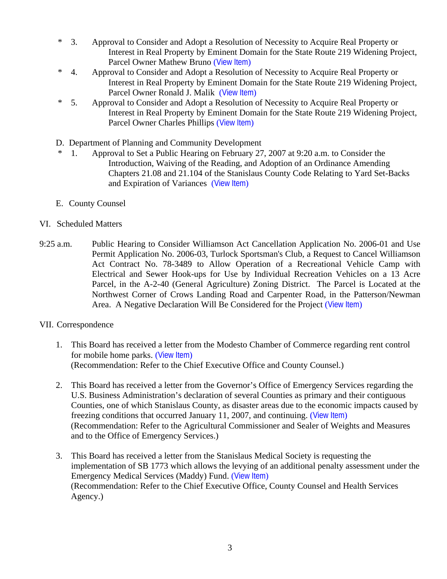- \* 3. Approval to Consider and Adopt a Resolution of Necessity to Acquire Real Property or Interest in Real Property by Eminent Domain for the State Route 219 Widening Project, Parcel Owner Mathew Bruno ([View Item](http://www.co.stanislaus.ca.us/BOS/Agenda/2007/20070206/C03.pdf))
- \* 4. Approval to Consider and Adopt a Resolution of Necessity to Acquire Real Property or Interest in Real Property by Eminent Domain for the State Route 219 Widening Project, Parcel Owner Ronald J. Malik ([View Item](http://www.co.stanislaus.ca.us/BOS/Agenda/2007/20070206/C04.pdf))
- \* 5. Approval to Consider and Adopt a Resolution of Necessity to Acquire Real Property or Interest in Real Property by Eminent Domain for the State Route 219 Widening Project, Parcel Owner Charles Phillips ([View Item](http://www.co.stanislaus.ca.us/BOS/Agenda/2007/20070206/C05.pdf))
- D. Department of Planning and Community Development
- \* 1. Approval to Set a Public Hearing on February 27, 2007 at 9:20 a.m. to Consider the Introduction, Waiving of the Reading, and Adoption of an Ordinance Amending Chapters 21.08 and 21.104 of the Stanislaus County Code Relating to Yard Set-Backs and Expiration of Variances ([View Item](http://www.co.stanislaus.ca.us/BOS/Agenda/2007/20070206/D01.pdf))
- E. County Counsel
- VI. Scheduled Matters
- 9:25 a.m. Public Hearing to Consider Williamson Act Cancellation Application No. 2006-01 and Use Permit Application No. 2006-03, Turlock Sportsman's Club, a Request to Cancel Williamson Act Contract No. 78-3489 to Allow Operation of a Recreational Vehicle Camp with Electrical and Sewer Hook-ups for Use by Individual Recreation Vehicles on a 13 Acre Parcel, in the A-2-40 (General Agriculture) Zoning District. The Parcel is Located at the Northwest Corner of Crows Landing Road and Carpenter Road, in the Patterson/Newman Area. A Negative Declaration Will Be Considered for the Project ([View Item](http://www.co.stanislaus.ca.us/BOS/Agenda/2007/20070206/PH925.pdf))
- VII. Correspondence
	- 1. This Board has received a letter from the Modesto Chamber of Commerce regarding rent control for mobile home parks. ([View Item](http://www.co.stanislaus.ca.us/BOS/Agenda/2007/20070206/Corr01.pdf)) (Recommendation: Refer to the Chief Executive Office and County Counsel.)
	- 2. This Board has received a letter from the Governor's Office of Emergency Services regarding the U.S. Business Administration's declaration of several Counties as primary and their contiguous Counties, one of which Stanislaus County, as disaster areas due to the economic impacts caused by freezing conditions that occurred January 11, 2007, and continuing. ([View Item](http://www.co.stanislaus.ca.us/BOS/Agenda/2007/20070206/Corr02.pdf)) (Recommendation: Refer to the Agricultural Commissioner and Sealer of Weights and Measures and to the Office of Emergency Services.)
	- 3. This Board has received a letter from the Stanislaus Medical Society is requesting the implementation of SB 1773 which allows the levying of an additional penalty assessment under the Emergency Medical Services (Maddy) Fund. ([View Item](http://www.co.stanislaus.ca.us/BOS/Agenda/2007/20070206/Corr03.pdf)) (Recommendation: Refer to the Chief Executive Office, County Counsel and Health Services Agency.)